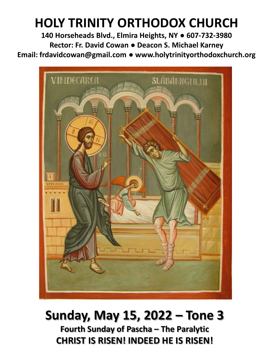# **HOLY TRINITY ORTHODOX CHURCH**

**140 Horseheads Blvd., Elmira Heights, NY ● 607-732-3980 Rector: Fr. David Cowan ● Deacon S. Michael Karney Email: frdavidcowan@gmail.com ● www.holytrinityorthodoxchurch.org**



## **Sunday, May 15, 2022 – Tone 3 Fourth Sunday of Pascha – The Paralytic CHRIST IS RISEN! INDEED HE IS RISEN!**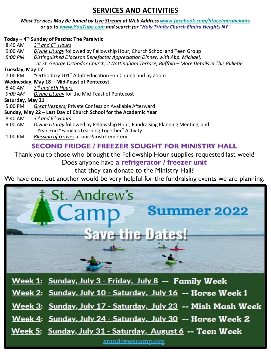## **SERVICES AND ACTIVITIES**

#### *Most Services May Be Joined by Live Stream at Web Address [www.facebook.com/htocelmiraheights](http://www.facebook.com/htocelmiraheights) or go to [www.YouTube.com](http://www.youtube.com/) and search for "Holy Trinity Church Elmira Heights NY"*

#### **Today – 4 th Sunday of Pascha: The Paralytic**

- 8:40 AM *3 rd and 6th Hours* 9:00 AM *Divine Liturgy* followed by Fellowship Hour, Church School and Teen Group *5:00 PM Distinguished Diocesan Benefactor Appreciation Dinner, with Abp. Michael, at St. George Orthodox Church, 2 Nottingham Terrace, Buffalo – More Details in This Bulletin*  **Tuesday, May 17** 7:00 PM "Orthodoxy 101" Adult Education – in Church and by Zoom **Wednesday, May 18 – Mid-Feast of Pentecost**  8:40 AM *3 rd and 6th Hours 9:00 AM Divine Liturgy* for the Mid-Feast of Pentecost **Saturday, May 21** 5:00 PM *Great Vespers;* Private Confession Available Afterward
- **Sunday, May 22 – Last Day of Church School for the Academic Year**
- 8:40 AM *3 rd and 6th Hours*
- 9:00 AM *Divine Liturgy* followed by Fellowship Hour, Fundraising Planning Meeting, and Year-End "Families Learning Together" Activity
- 1:00 PM *Blessing of Graves* at our Parish Cemetery

### **SECOND FRIDGE / FREEZER SOUGHT FOR MINISTRY HALL**

Thank you to those who brought the Fellowship Hour supplies requested last week!

Does anyone have **a refrigerator / freezer unit** 

that they can donate to the Ministry Hall?

We have one, but another would be very helpful for the fundraising events we are planning.



Week 1: Sunday, July 3 - Friday, July 8 -- Family Week

Week 2: Sunday, July 10 - Saturday, July 16 -- Horse Week 1

Week 3: Sunday, July 17 - Saturday, July 23 -- Mish Mash Week

Week 4: Sunday, July 24 - Saturday, July 30 -- Horse Week 2

Week 5: Sunday, July 31 - Saturday, August 6 -- Teen Week

standrewscamp.org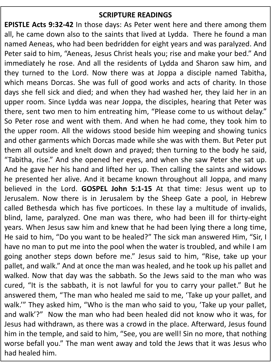### **SCRIPTURE READINGS**

**EPISTLE Acts 9:32-42** In those days: As Peter went here and there among them all, he came down also to the saints that lived at Lydda. There he found a man named Aeneas, who had been bedridden for eight years and was paralyzed. And Peter said to him, "Aeneas, Jesus Christ heals you; rise and make your bed." And immediately he rose. And all the residents of Lydda and Sharon saw him, and they turned to the Lord. Now there was at Joppa a disciple named Tabitha, which means Dorcas. She was full of good works and acts of charity. In those days she fell sick and died; and when they had washed her, they laid her in an upper room. Since Lydda was near Joppa, the disciples, hearing that Peter was there, sent two men to him entreating him, "Please come to us without delay." So Peter rose and went with them. And when he had come, they took him to the upper room. All the widows stood beside him weeping and showing tunics and other garments which Dorcas made while she was with them. But Peter put them all outside and knelt down and prayed; then turning to the body he said, "Tabitha, rise." And she opened her eyes, and when she saw Peter she sat up. And he gave her his hand and lifted her up. Then calling the saints and widows he presented her alive. And it became known throughout all Joppa, and many believed in the Lord. **GOSPEL John 5:1-15** At that time: Jesus went up to Jerusalem. Now there is in Jerusalem by the Sheep Gate a pool, in Hebrew called Bethesda which has five porticoes. In these lay a multitude of invalids, blind, lame, paralyzed. One man was there, who had been ill for thirty-eight years. When Jesus saw him and knew that he had been lying there a long time, He said to him, "Do you want to be healed?" The sick man answered Him, "Sir, I have no man to put me into the pool when the water is troubled, and while I am going another steps down before me." Jesus said to him, "Rise, take up your pallet, and walk." And at once the man was healed, and he took up his pallet and walked. Now that day was the sabbath. So the Jews said to the man who was cured, "It is the sabbath, it is not lawful for you to carry your pallet." But he answered them, "The man who healed me said to me, 'Take up your pallet, and walk.'" They asked him, "Who is the man who said to you, 'Take up your pallet, and walk'?" Now the man who had been healed did not know who it was, for Jesus had withdrawn, as there was a crowd in the place. Afterward, Jesus found him in the temple, and said to him, "See, you are well! Sin no more, that nothing worse befall you." The man went away and told the Jews that it was Jesus who had healed him.